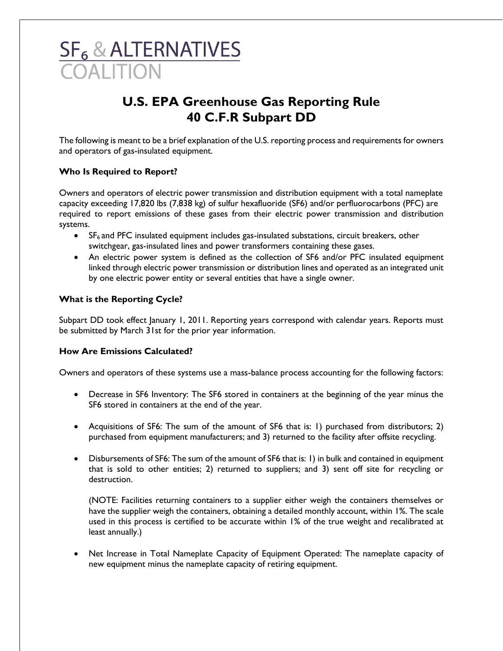# **SF<sub>6</sub> & ALTERNATIVES OALITION**

# **U.S. EPA Greenhouse Gas Reporting Rule 40 C.F.R Subpart DD**

The following is meant to be a brief explanation of the U.S. reporting process and requirements for owners and operators of gas-insulated equipment.

## **Who Is Required to Report?**

Owners and operators of electric power transmission and distribution equipment with a total nameplate capacity exceeding 17,820 lbs (7,838 kg) of sulfur hexafluoride (SF6) and/or perfluorocarbons (PFC) are required to report emissions of these gases from their electric power transmission and distribution systems.

- SF<sub>6</sub> and PFC insulated equipment includes gas-insulated substations, circuit breakers, other switchgear, gas-insulated lines and power transformers containing these gases.
- An electric power system is defined as the collection of SF6 and/or PFC insulated equipment linked through electric power transmission or distribution lines and operated as an integrated unit by one electric power entity or several entities that have a single owner.

#### **What is the Reporting Cycle?**

Subpart DD took effect January 1, 2011. Reporting years correspond with calendar years. Reports must be submitted by March 31st for the prior year information.

#### **How Are Emissions Calculated?**

Owners and operators of these systems use a mass-balance process accounting for the following factors:

- Decrease in SF6 Inventory: The SF6 stored in containers at the beginning of the year minus the SF6 stored in containers at the end of the year.
- Acquisitions of SF6: The sum of the amount of SF6 that is: 1) purchased from distributors; 2) purchased from equipment manufacturers; and 3) returned to the facility after offsite recycling.
- Disbursements of SF6: The sum of the amount of SF6 that is: 1) in bulk and contained in equipment that is sold to other entities; 2) returned to suppliers; and 3) sent off site for recycling or destruction.

(NOTE: Facilities returning containers to a supplier either weigh the containers themselves or have the supplier weigh the containers, obtaining a detailed monthly account, within 1%. The scale used in this process is certified to be accurate within 1% of the true weight and recalibrated at least annually.)

• Net Increase in Total Nameplate Capacity of Equipment Operated: The nameplate capacity of new equipment minus the nameplate capacity of retiring equipment.